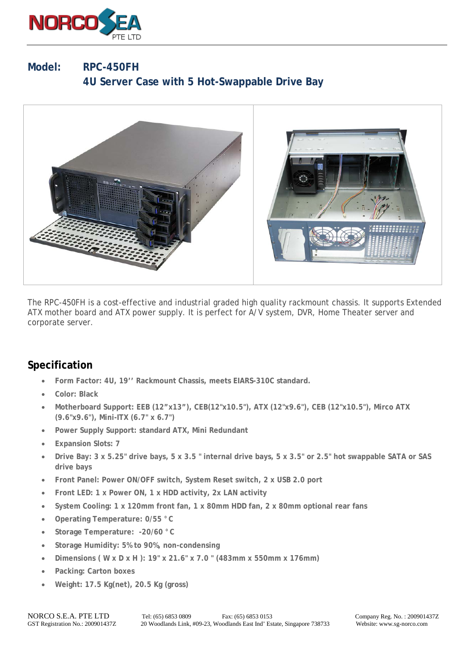

## **Model: RPC-450FH 4U Server Case with 5 Hot-Swappable Drive Bay**



The RPC-450FH is a cost-effective and industrial graded high quality rackmount chassis. It supports Extended ATX mother board and ATX power supply. It is perfect for A/V system, DVR, Home Theater server and corporate server.

## **Specification**

- **Form Factor: 4U, 19'' Rackmount Chassis, meets EIARS-310C standard.**
- **Color: Black**
- **Motherboard Support: EEB (12"x13"), CEB(12"x10.5"), ATX (12"x9.6"), CEB (12"x10.5"), Mirco ATX (9.6"x9.6"), Mini-ITX (6.7" x 6.7")**
- **Power Supply Support: standard ATX, Mini Redundant**
- **Expansion Slots: 7**
- **Drive Bay: 3 x 5.25" drive bays, 5 x 3.5 " internal drive bays, 5 x 3.5" or 2.5" hot swappable SATA or SAS drive bays**
- **Front Panel: Power ON/OFF switch, System Reset switch, 2 x USB 2.0 port**
- **Front LED: 1 x Power ON, 1 x HDD activity, 2x LAN activity**
- **System Cooling: 1 x 120mm front fan, 1 x 80mm HDD fan, 2 x 80mm optional rear fans**
- **Operating Temperature: 0/55 °C**
- **Storage Temperature: -20/60 °C**
- **Storage Humidity: 5% to 90%, non-condensing**
- **Dimensions ( W x D x H ): 19" x 21.6" x 7.0 " (483mm x 550mm x 176mm)**
- **Packing: Carton boxes**
- **Weight: 17.5 Kg(net), 20.5 Kg (gross)**